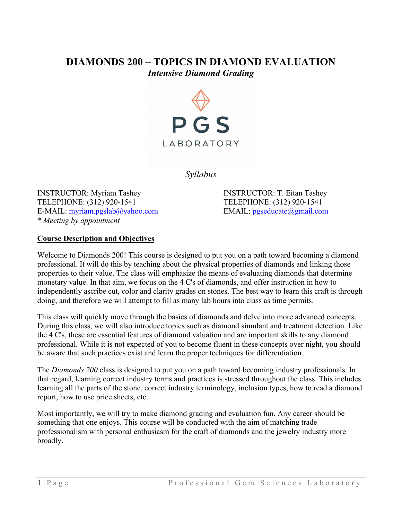# **DIAMONDS 200 – TOPICS IN DIAMOND EVALUATION** *Intensive Diamond Grading*



*Syllabus*

INSTRUCTOR: Myriam Tashey INSTRUCTOR: T. Eitan Tashey TELEPHONE: (312) 920-1541 TELEPHONE: (312) 920-1541 E-MAIL: myriam.pgslab@yahoo.com EMAIL: pgseducate@gmail.com *\* Meeting by appointment* 

#### **Course Description and Objectives**

Welcome to Diamonds 200! This course is designed to put you on a path toward becoming a diamond professional. It will do this by teaching about the physical properties of diamonds and linking those properties to their value. The class will emphasize the means of evaluating diamonds that determine monetary value. In that aim, we focus on the 4 C's of diamonds, and offer instruction in how to independently ascribe cut, color and clarity grades on stones. The best way to learn this craft is through doing, and therefore we will attempt to fill as many lab hours into class as time permits.

This class will quickly move through the basics of diamonds and delve into more advanced concepts. During this class, we will also introduce topics such as diamond simulant and treatment detection. Like the 4 C's, these are essential features of diamond valuation and are important skills to any diamond professional. While it is not expected of you to become fluent in these concepts over night, you should be aware that such practices exist and learn the proper techniques for differentiation.

The *Diamonds 200* class is designed to put you on a path toward becoming industry professionals. In that regard, learning correct industry terms and practices is stressed throughout the class. This includes learning all the parts of the stone, correct industry terminology, inclusion types, how to read a diamond report, how to use price sheets, etc.

Most importantly, we will try to make diamond grading and evaluation fun. Any career should be something that one enjoys. This course will be conducted with the aim of matching trade professionalism with personal enthusiasm for the craft of diamonds and the jewelry industry more broadly.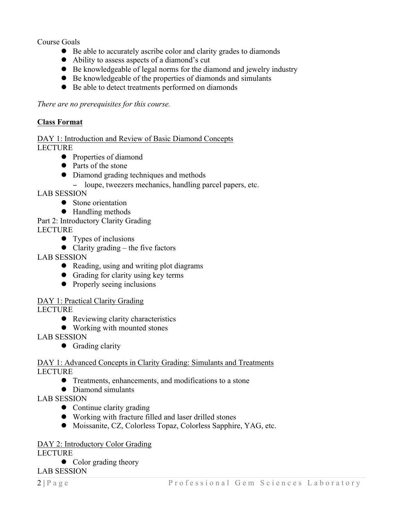Course Goals

- Be able to accurately ascribe color and clarity grades to diamonds
- Ability to assess aspects of a diamond's cut
- Be knowledgeable of legal norms for the diamond and jewelry industry
- ! Be knowledgeable of the properties of diamonds and simulants
- ! Be able to detect treatments performed on diamonds

*There are no prerequisites for this course.* 

## **Class Format**

DAY 1: Introduction and Review of Basic Diamond Concepts LECTURE

- Properties of diamond
- Parts of the stone
- Diamond grading techniques and methods
	- − loupe, tweezers mechanics, handling parcel papers, etc.

LAB SESSION

- Stone orientation
- Handling methods
- Part 2: Introductory Clarity Grading LECTURE
	- $\bullet$  Types of inclusions
	- $\bullet$  Clarity grading the five factors

LAB SESSION

- Reading, using and writing plot diagrams
- Grading for clarity using key terms
- Properly seeing inclusions

### DAY 1: Practical Clarity Grading

LECTURE

- Reviewing clarity characteristics
- Working with mounted stones

LAB SESSION

• Grading clarity

DAY 1: Advanced Concepts in Clarity Grading: Simulants and Treatments LECTURE

- ! Treatments, enhancements, and modifications to a stone
- Diamond simulants

LAB SESSION

- Continue clarity grading
- ! Working with fracture filled and laser drilled stones
- ! Moissanite, CZ, Colorless Topaz, Colorless Sapphire, YAG, etc.

### DAY 2: Introductory Color Grading

LECTURE

• Color grading theory

LAB SESSION